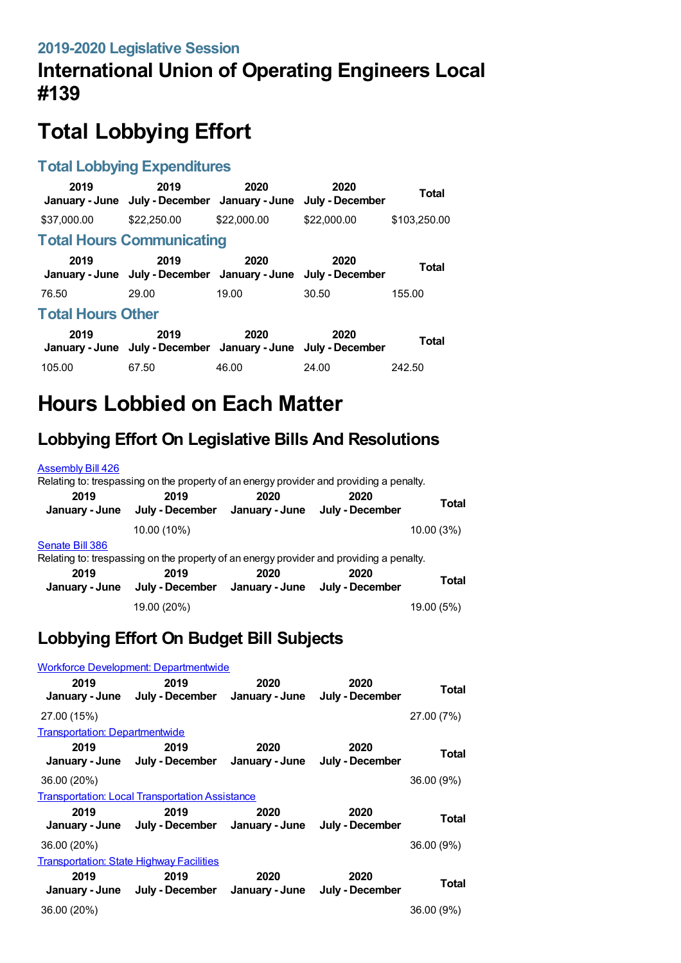# **International Union of Operating Engineers Local #139**

# **Total Lobbying Effort**

#### **Total Lobbying Expenditures**

| 2019                     | 2019<br>January - June July - December January - June July - December | 2020        | 2020        | Total        |  |
|--------------------------|-----------------------------------------------------------------------|-------------|-------------|--------------|--|
| \$37,000.00              | \$22,250,00                                                           | \$22,000.00 | \$22,000.00 | \$103,250.00 |  |
|                          | <b>Total Hours Communicating</b>                                      |             |             |              |  |
| 2019                     | 2019<br>January - June July - December January - June July - December | 2020        | 2020        | Total        |  |
| 76.50                    | 29.00                                                                 | 19.00       | 30.50       | 155.00       |  |
| <b>Total Hours Other</b> |                                                                       |             |             |              |  |
| 2019                     | 2019<br>January - June July - December January - June July - December | 2020        | 2020        | Total        |  |
| 105.00                   | 67.50                                                                 | 46.00       | 24.00       | 242.50       |  |

# **Hours Lobbied on Each Matter**

## **Lobbying Effort On Legislative Bills And Resolutions**

#### [Assembly](https://lobbying.wi.gov/What/BillInformation/2019REG/Information/16934?tab=Efforts) Bill 426

|                        | Relating to: trespassing on the property of an energy provider and providing a penalty. |      |                         |              |
|------------------------|-----------------------------------------------------------------------------------------|------|-------------------------|--------------|
| 2019<br>January - June | 2019<br>July - December January - June                                                  | 2020 | 2020<br>July - December | Total        |
|                        | 10.00 (10%)                                                                             |      |                         | 10.00 (3%)   |
| Senate Bill 386        | Relating to: trespassing on the property of an energy provider and providing a penalty. |      |                         |              |
| 2019<br>January - June | 2019<br>July - December January - June July - December                                  | 2020 | 2020                    | <b>Total</b> |
|                        | 19.00 (20%)                                                                             |      |                         | 19.00 (5%)   |

### **Lobbying Effort On Budget Bill Subjects**

|                                                 | <b>Workforce Development: Departmentwide</b>                          |      |                         |            |
|-------------------------------------------------|-----------------------------------------------------------------------|------|-------------------------|------------|
| 2019                                            | 2019<br>January - June July - December January - June                 | 2020 | 2020<br>July - December | Total      |
| 27.00 (15%)                                     |                                                                       |      |                         | 27.00 (7%) |
| <b>Transportation: Departmentwide</b>           |                                                                       |      |                         |            |
| 2019                                            | 2019<br>January - June July - December January - June July - December | 2020 | 2020                    | Total      |
| 36.00 (20%)                                     |                                                                       |      |                         | 36.00 (9%) |
|                                                 | <b>Transportation: Local Transportation Assistance</b>                |      |                         |            |
| 2019                                            | 2019<br>January - June July - December January - June                 | 2020 | 2020<br>July - December | Total      |
| 36.00 (20%)                                     |                                                                       |      |                         | 36.00 (9%) |
| <b>Transportation: State Highway Facilities</b> |                                                                       |      |                         |            |
| 2019                                            | 2019<br>January - June July - December January - June July - December | 2020 | 2020                    | Total      |
| 36.00 (20%)                                     |                                                                       |      |                         | 36.00 (9%) |